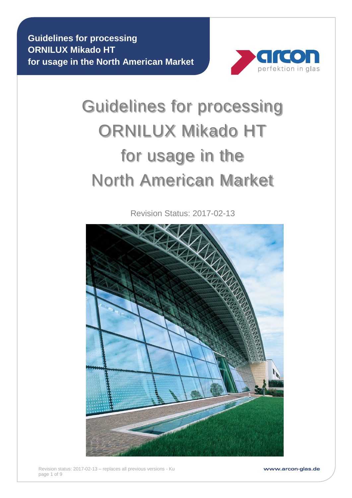

# Guidelines for processing ORNILUX Mikado HT for usage in the North American Market

Revision Status: 2017-02-13



www.arcon-glas.de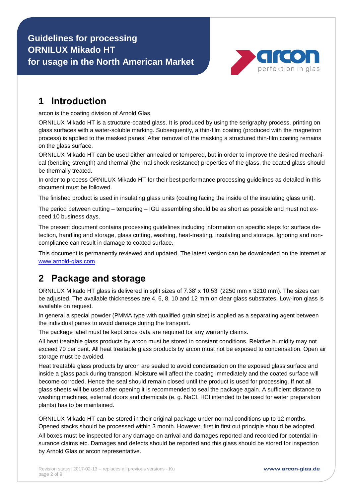

#### **1 Introduction**

arcon is the coating division of Arnold Glas.

ORNILUX Mikado HT is a structure-coated glass. It is produced by using the serigraphy process, printing on glass surfaces with a water-soluble marking. Subsequently, a thin-film coating (produced with the magnetron process) is applied to the masked panes. After removal of the masking a structured thin-film coating remains on the glass surface.

ORNILUX Mikado HT can be used either annealed or tempered, but in order to improve the desired mechanical (bending strength) and thermal (thermal shock resistance) properties of the glass, the coated glass should be thermally treated.

In order to process ORNILUX Mikado HT for their best performance processing guidelines as detailed in this document must be followed.

The finished product is used in insulating glass units (coating facing the inside of the insulating glass unit).

The period between cutting – tempering – IGU assembling should be as short as possible and must not exceed 10 business days.

The present document contains processing guidelines including information on specific steps for surface detection, handling and storage, glass cutting, washing, heat-treating, insulating and storage. Ignoring and noncompliance can result in damage to coated surface.

This document is permanently reviewed and updated. The latest version can be downloaded on the internet at [www.arnold-glas.com.](http://www.arnold-glas.com/)

#### **2 Package and storage**

ORNILUX Mikado HT glass is delivered in split sizes of 7.38' x 10.53' (2250 mm x 3210 mm). The sizes can be adjusted. The available thicknesses are 4, 6, 8, 10 and 12 mm on clear glass substrates. Low-iron glass is available on request.

In general a special powder (PMMA type with qualified grain size) is applied as a separating agent between the individual panes to avoid damage during the transport.

The package label must be kept since data are required for any warranty claims.

All heat treatable glass products by arcon must be stored in constant conditions. Relative humidity may not exceed 70 per cent. All heat treatable glass products by arcon must not be exposed to condensation. Open air storage must be avoided.

Heat treatable glass products by arcon are sealed to avoid condensation on the exposed glass surface and inside a glass pack during transport. Moisture will affect the coating immediately and the coated surface will become corroded. Hence the seal should remain closed until the product is used for processing. If not all glass sheets will be used after opening it is recommended to seal the package again. A sufficient distance to washing machines, external doors and chemicals (e. g. NaCl, HCl intended to be used for water preparation plants) has to be maintained.

ORNILUX Mikado HT can be stored in their original package under normal conditions up to 12 months. Opened stacks should be processed within 3 month. However, first in first out principle should be adopted.

All boxes must be inspected for any damage on arrival and damages reported and recorded for potential insurance claims etc. Damages and defects should be reported and this glass should be stored for inspection by Arnold Glas or arcon representative.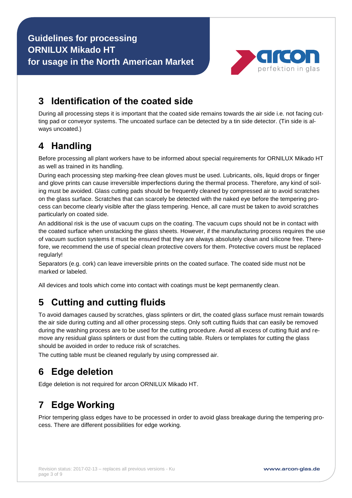

### **3 Identification of the coated side**

During all processing steps it is important that the coated side remains towards the air side i.e. not facing cutting pad or conveyor systems. The uncoated surface can be detected by a tin side detector. (Tin side is always uncoated.)

### **4 Handling**

Before processing all plant workers have to be informed about special requirements for ORNILUX Mikado HT as well as trained in its handling.

During each processing step marking-free clean gloves must be used. Lubricants, oils, liquid drops or finger and glove prints can cause irreversible imperfections during the thermal process. Therefore, any kind of soiling must be avoided. Glass cutting pads should be frequently cleaned by compressed air to avoid scratches on the glass surface. Scratches that can scarcely be detected with the naked eye before the tempering process can become clearly visible after the glass tempering. Hence, all care must be taken to avoid scratches particularly on coated side.

An additional risk is the use of vacuum cups on the coating. The vacuum cups should not be in contact with the coated surface when unstacking the glass sheets. However, if the manufacturing process requires the use of vacuum suction systems it must be ensured that they are always absolutely clean and silicone free. Therefore, we recommend the use of special clean protective covers for them. Protective covers must be replaced regularly!

Separators (e.g. cork) can leave irreversible prints on the coated surface. The coated side must not be marked or labeled.

All devices and tools which come into contact with coatings must be kept permanently clean.

# **5 Cutting and cutting fluids**

To avoid damages caused by scratches, glass splinters or dirt, the coated glass surface must remain towards the air side during cutting and all other processing steps. Only soft cutting fluids that can easily be removed during the washing process are to be used for the cutting procedure. Avoid all excess of cutting fluid and remove any residual glass splinters or dust from the cutting table. Rulers or templates for cutting the glass should be avoided in order to reduce risk of scratches.

The cutting table must be cleaned regularly by using compressed air.

# **6 Edge deletion**

Edge deletion is not required for arcon ORNILUX Mikado HT.

# **7 Edge Working**

Prior tempering glass edges have to be processed in order to avoid glass breakage during the tempering process. There are different possibilities for edge working.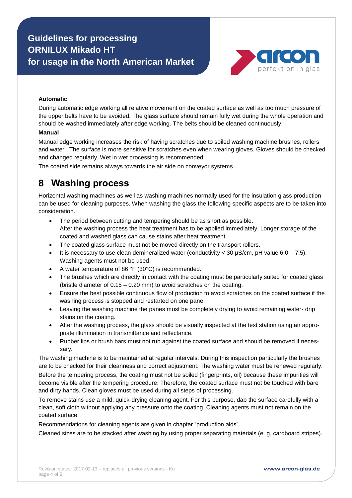

#### **Automatic**

During automatic edge working all relative movement on the coated surface as well as too much pressure of the upper belts have to be avoided. The glass surface should remain fully wet during the whole operation and should be washed immediately after edge working. The belts should be cleaned continuously.

#### **Manual**

Manual edge working increases the risk of having scratches due to soiled washing machine brushes, rollers and water. The surface is more sensitive for scratches even when wearing gloves. Gloves should be checked and changed regularly. Wet in wet processing is recommended.

The coated side remains always towards the air side on conveyor systems.

#### **8 Washing process**

Horizontal washing machines as well as washing machines normally used for the insulation glass production can be used for cleaning purposes. When washing the glass the following specific aspects are to be taken into consideration.

- The period between cutting and tempering should be as short as possible. After the washing process the heat treatment has to be applied immediately. Longer storage of the coated and washed glass can cause stains after heat treatment.
- The coated glass surface must not be moved directly on the transport rollers.
- It is necessary to use clean demineralized water (conductivity < 30  $\mu$ S/cm, pH value 6.0 7.5). Washing agents must not be used.
- A water temperature of 86 °F (30°C) is recommended.
- The brushes which are directly in contact with the coating must be particularly suited for coated glass (bristle diameter of 0.15 – 0.20 mm) to avoid scratches on the coating.
- Ensure the best possible continuous flow of production to avoid scratches on the coated surface if the washing process is stopped and restarted on one pane.
- Leaving the washing machine the panes must be completely drying to avoid remaining water- drip stains on the coating.
- After the washing process, the glass should be visually inspected at the test station using an appropriate illumination in transmittance and reflectance.
- Rubber lips or brush bars must not rub against the coated surface and should be removed if necessary.

The washing machine is to be maintained at regular intervals. During this inspection particularly the brushes are to be checked for their cleanness and correct adjustment. The washing water must be renewed regularly. Before the tempering process, the coating must not be soiled (fingerprints, oil) because these impurities will become visible after the tempering procedure. Therefore, the coated surface must not be touched with bare and dirty hands. Clean gloves must be used during all steps of processing.

To remove stains use a mild, quick-drying cleaning agent. For this purpose, dab the surface carefully with a clean, soft cloth without applying any pressure onto the coating. Cleaning agents must not remain on the coated surface.

Recommendations for cleaning agents are given in chapter "production aids".

Cleaned sizes are to be stacked after washing by using proper separating materials (e. g. cardboard stripes).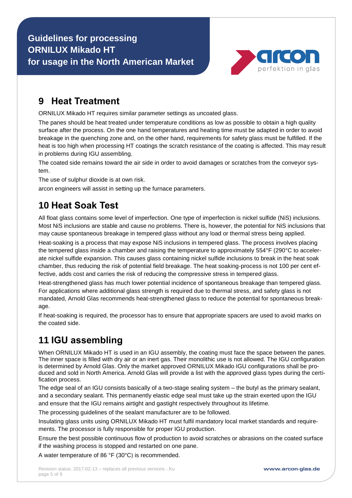

## **9 Heat Treatment**

ORNILUX Mikado HT requires similar parameter settings as uncoated glass.

The panes should be heat treated under temperature conditions as low as possible to obtain a high quality surface after the process. On the one hand temperatures and heating time must be adapted in order to avoid breakage in the quenching zone and, on the other hand, requirements for safety glass must be fulfilled. If the heat is too high when processing HT coatings the scratch resistance of the coating is affected. This may result in problems during IGU assembling.

The coated side remains toward the air side in order to avoid damages or scratches from the conveyor system.

The use of sulphur dioxide is at own risk.

arcon engineers will assist in setting up the furnace parameters.

# **10 Heat Soak Test**

All float glass contains some level of imperfection. One type of imperfection is nickel sulfide (NiS) inclusions. Most NiS inclusions are stable and cause no problems. There is, however, the potential for NiS inclusions that may cause spontaneous breakage in tempered glass without any load or thermal stress being applied.

Heat-soaking is a process that may expose NiS inclusions in tempered glass. The process involves placing the tempered glass inside a chamber and raising the temperature to approximately 554°F (290°C to accelerate nickel sulfide expansion. This causes glass containing nickel sulfide inclusions to break in the heat soak chamber, thus reducing the risk of potential field breakage. The heat soaking-process is not 100 per cent effective, adds cost and carries the risk of reducing the compressive stress in tempered glass.

Heat-strengthened glass has much lower potential incidence of spontaneous breakage than tempered glass. For applications where additional glass strength is required due to thermal stress, and safety glass is not mandated, Arnold Glas recommends heat-strengthened glass to reduce the potential for spontaneous breakage.

If heat-soaking is required, the processor has to ensure that appropriate spacers are used to avoid marks on the coated side.

# **11 IGU assembling**

When ORNILUX Mikado HT is used in an IGU assembly, the coating must face the space between the panes. The inner space is filled with dry air or an inert gas. Their monolithic use is not allowed. The IGU configuration is determined by Arnold Glas. Only the market approved ORNILUX Mikado IGU configurations shall be produced and sold in North America. Arnold Glas will provide a list with the approved glass types during the certification process.

The edge seal of an IGU consists basically of a two-stage sealing system – the butyl as the primary sealant, and a secondary sealant. This permanently elastic edge seal must take up the strain exerted upon the IGU and ensure that the IGU remains airtight and gastight respectively throughout its lifetime.

The processing guidelines of the sealant manufacturer are to be followed.

Insulating glass units using ORNILUX Mikado HT must fulfil mandatory local market standards and requirements. The processor is fully responsible for proper IGU production.

Ensure the best possible continuous flow of production to avoid scratches or abrasions on the coated surface if the washing process is stopped and restarted on one pane.

A water temperature of 86 °F (30°C) is recommended.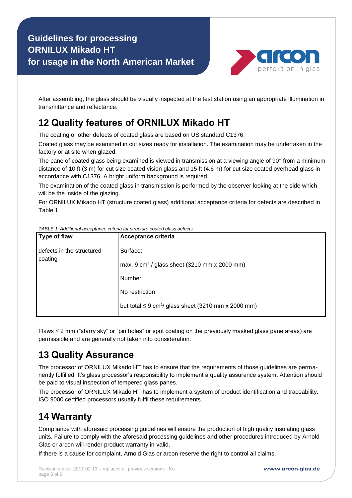

After assembling, the glass should be visually inspected at the test station using an appropriate illumination in transmittance and reflectance.

## **12 Quality features of ORNILUX Mikado HT**

The coating or other defects of coated glass are based on US standard C1376.

Coated glass may be examined in cut sizes ready for installation. The examination may be undertaken in the factory or at site when glazed.

The pane of coated glass being examined is viewed in transmission at a viewing angle of 90° from a minimum distance of 10 ft (3 m) for cut size coated vision glass and 15 ft (4.6 m) for cut size coated overhead glass in accordance with C1376. A bright uniform background is required.

The examination of the coated glass in transmission is performed by the observer looking at the side which will be the inside of the glazing.

For ORNILUX Mikado HT (structure coated glass) additional acceptance criteria for defects are described in Table 1.

| <b>Type of flaw</b>                  | Acceptance criteria                                                  |
|--------------------------------------|----------------------------------------------------------------------|
| defects in the structured<br>coating | Surface:                                                             |
|                                      | max. $9 \text{ cm}^2$ / glass sheet (3210 mm x 2000 mm)              |
|                                      | Number:                                                              |
|                                      | No restriction                                                       |
|                                      | but total $\leq 9$ cm <sup>2</sup> / glass sheet (3210 mm x 2000 mm) |

*TABLE 1: Additional acceptance criteria for structure coated glass defects*

Flaws  $\leq$  2 mm ("starry sky" or "pin holes" or spot coating on the previously masked glass pane areas) are permissible and are generally not taken into consideration.

### **13 Quality Assurance**

The processor of ORNILUX Mikado HT has to ensure that the requirements of those guidelines are permanently fulfilled. It's glass processor's responsibility to implement a quality assurance system. Attention should be paid to visual inspection of tempered glass panes.

The processor of ORNILUX Mikado HT has to implement a system of product identification and traceability. ISO 9000 certified processors usually fulfil these requirements.

# **14 Warranty**

Compliance with aforesaid processing guidelines will ensure the production of high quality insulating glass units. Failure to comply with the aforesaid processing guidelines and other procedures introduced by Arnold Glas or arcon will render product warranty in-valid.

If there is a cause for complaint, Arnold Glas or arcon reserve the right to control all claims.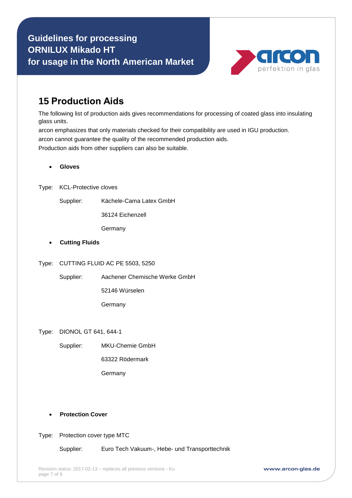

#### **15 Production Aids**

The following list of production aids gives recommendations for processing of coated glass into insulating glass units.

arcon emphasizes that only materials checked for their compatibility are used in IGU production. arcon cannot guarantee the quality of the recommended production aids. Production aids from other suppliers can also be suitable.

- **Gloves**
- Type: KCL-Protective cloves
	- Supplier: Kächele-Cama Latex GmbH

36124 Eichenzell

Germany

- **Cutting Fluids**
- Type: CUTTING FLUID AC PE 5503, 5250

Supplier: Aachener Chemische Werke GmbH

52146 Würselen

**Germany** 

Type: DIONOL GT 641, 644-1

Supplier: MKU-Chemie GmbH

63322 Rödermark

Germany

- **Protection Cover**
- Type: Protection cover type MTC

Supplier: Euro Tech Vakuum-, Hebe- und Transporttechnik

www.arcon-glas.de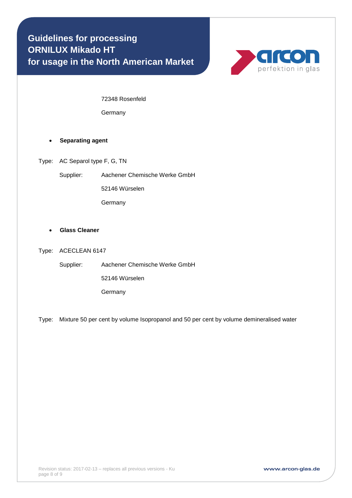

72348 Rosenfeld

Germany

#### **Separating agent**

Type: AC Separol type F, G, TN

Supplier: Aachener Chemische Werke GmbH

52146 Würselen

Germany

#### **Glass Cleaner**

#### Type: ACECLEAN 6147

Supplier: Aachener Chemische Werke GmbH

52146 Würselen

Germany

Type: Mixture 50 per cent by volume Isopropanol and 50 per cent by volume demineralised water